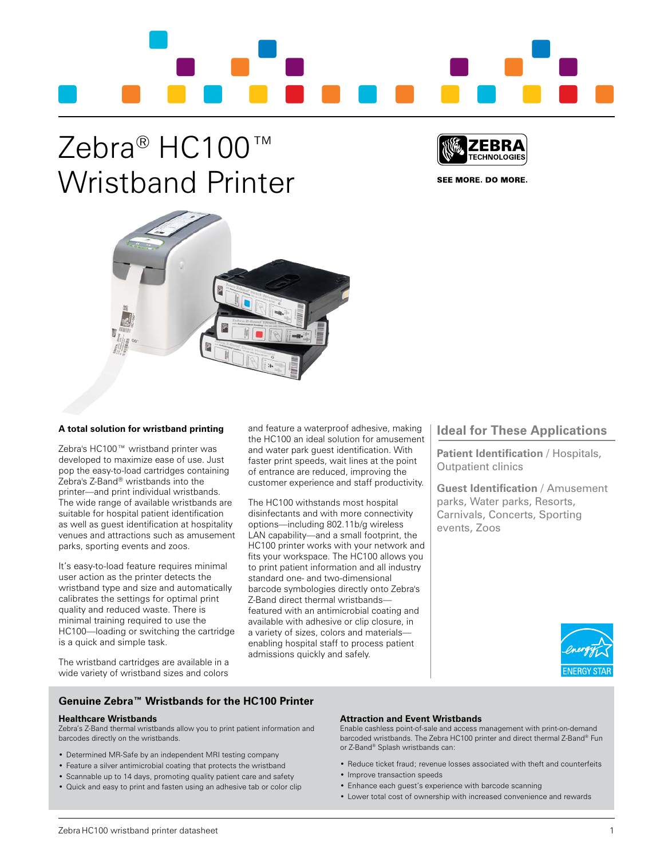

## Zebra<sup>®</sup> HC100 Wristband Printer



SEE MORE. DO MORE.



## **A total solution for wristband printing**

Zebra's HC100™ wristband printer was developed to maximize ease of use. Just pop the easy-to-load cartridges containing Zebra's Z-Band® wristbands into the printer—and print individual wristbands. The wide range of available wristbands are suitable for hospital patient identification as well as guest identification at hospitality venues and attractions such as amusement parks, sporting events and zoos.

It's easy-to-load feature requires minimal user action as the printer detects the wristband type and size and automatically calibrates the settings for optimal print quality and reduced waste. There is minimal training required to use the HC100—loading or switching the cartridge is a quick and simple task.

and feature a waterproof adhesive, making the HC100 an ideal solution for amusement and water park guest identification. With faster print speeds, wait lines at the point of entrance are reduced, improving the customer experience and staff productivity.

The HC100 withstands most hospital disinfectants and with more connectivity options—including 802.11b/g wireless LAN capability—and a small footprint, the HC100 printer works with your network and fits your workspace. The HC100 allows you to print patient information and all industry standard one- and two-dimensional barcode symbologies directly onto Zebra's Z-Band direct thermal wristbands featured with an antimicrobial coating and available with adhesive or clip closure, in a variety of sizes, colors and materials enabling hospital staff to process patient admissions quickly and safely.

## **Ideal for These Applications**

**Patient Identification** / Hospitals, Outpatient clinics

**Guest Identification** / Amusement parks, Water parks, Resorts, Carnivals, Concerts, Sporting events, Zoos



The wristband cartridges are available in a wide variety of wristband sizes and colors

## **Genuine Zebra™ Wristbands for the HC100 Printer**

## **Healthcare Wristbands**

Zebra's Z-Band thermal wristbands allow you to print patient information and barcodes directly on the wristbands.

- Determined MR-Safe by an independent MRI testing company
- Feature a silver antimicrobial coating that protects the wristband
- Scannable up to 14 days, promoting quality patient care and safety
- • Quick and easy to print and fasten using an adhesive tab or color clip

## **Attraction and Event Wristbands**

Enable cashless point-of-sale and access management with print-on-demand barcoded wristbands. The Zebra HC100 printer and direct thermal Z-Band® Fun or Z-Band® Splash wristbands can:

- Reduce ticket fraud; revenue losses associated with theft and counterfeits
- Improve transaction speeds
- Enhance each guest's experience with barcode scanning
- Lower total cost of ownership with increased convenience and rewards